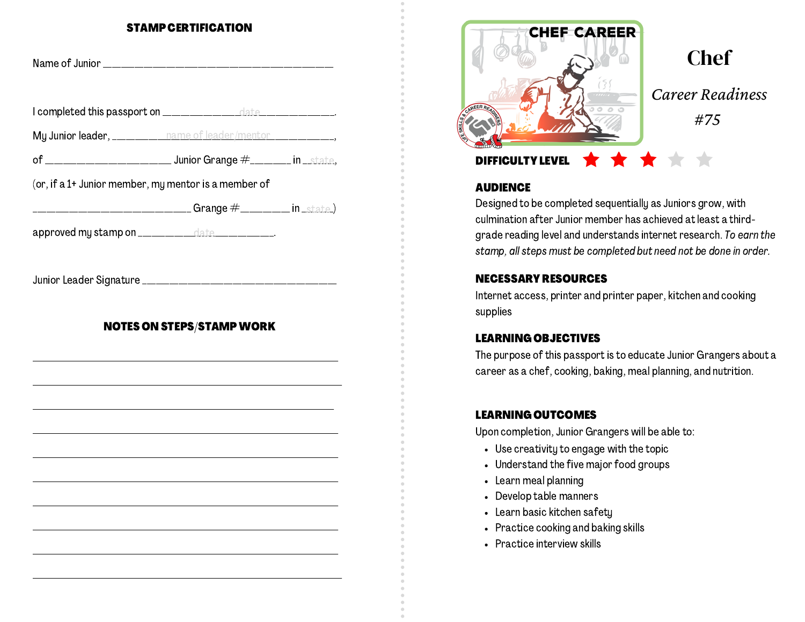#### STAMP CERTIFICATION

| My Junior leader, ___________ name of leader/mentor _______________,                 |                                  |  |
|--------------------------------------------------------------------------------------|----------------------------------|--|
|                                                                                      |                                  |  |
| (or, if a 1+ Junior member, my mentor is a member of                                 |                                  |  |
| ____________________________________Grange                 #____________ in _state_) |                                  |  |
| approved my stamp on ______________date _____________.                               |                                  |  |
|                                                                                      |                                  |  |
|                                                                                      | <b>NOTES ON STEPS/STAMP WORK</b> |  |
|                                                                                      |                                  |  |
|                                                                                      |                                  |  |
|                                                                                      |                                  |  |



# **Chef** *Career Readiness #75*

## DIFFICULTY LEVEL

#### **AUDIENCE**

Designed to be completed sequentially as Juniors grow, with culmination after Junior member has achieved at least a thirdgrade reading level and understands internet research. To earn the stamp, all steps must be completed but need not be done in order.

## NECESSARY RESOURCES

Internet access, printer and printer paper, kitchen and cooking supplies

#### LEARNING OBJECTIVES

The purpose of this passport is to educate Junior Grangers about a career as a chef, cooking, baking, meal planning, and nutrition.

## LEARNING OUTCOMES

Upon completion, Junior Grangers will be able to:

- Use creativity to engage with the topic
- Understand the five major food groups
- Learn meal planning
- Develop table manners
- Learn basic kitchen safety
- Practice cooking and baking skills
- Practice interview skills